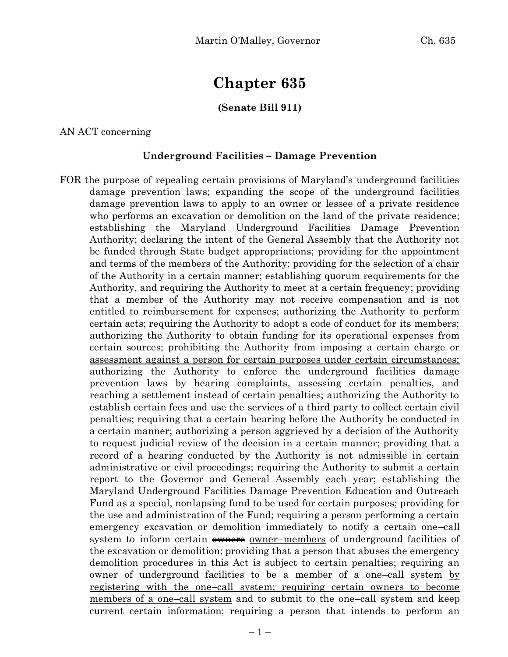# **Chapter 635**

### **(Senate Bill 911)**

AN ACT concerning

#### **Underground Facilities – Damage Prevention**

FOR the purpose of repealing certain provisions of Maryland's underground facilities damage prevention laws; expanding the scope of the underground facilities damage prevention laws to apply to an owner or lessee of a private residence who performs an excavation or demolition on the land of the private residence; establishing the Maryland Underground Facilities Damage Prevention Authority; declaring the intent of the General Assembly that the Authority not be funded through State budget appropriations; providing for the appointment and terms of the members of the Authority; providing for the selection of a chair of the Authority in a certain manner; establishing quorum requirements for the Authority, and requiring the Authority to meet at a certain frequency; providing that a member of the Authority may not receive compensation and is not entitled to reimbursement for expenses; authorizing the Authority to perform certain acts; requiring the Authority to adopt a code of conduct for its members; authorizing the Authority to obtain funding for its operational expenses from certain sources; prohibiting the Authority from imposing a certain charge or assessment against a person for certain purposes under certain circumstances; authorizing the Authority to enforce the underground facilities damage prevention laws by hearing complaints, assessing certain penalties, and reaching a settlement instead of certain penalties; authorizing the Authority to establish certain fees and use the services of a third party to collect certain civil penalties; requiring that a certain hearing before the Authority be conducted in a certain manner; authorizing a person aggrieved by a decision of the Authority to request judicial review of the decision in a certain manner; providing that a record of a hearing conducted by the Authority is not admissible in certain administrative or civil proceedings; requiring the Authority to submit a certain report to the Governor and General Assembly each year; establishing the Maryland Underground Facilities Damage Prevention Education and Outreach Fund as a special, nonlapsing fund to be used for certain purposes; providing for the use and administration of the Fund; requiring a person performing a certain emergency excavation or demolition immediately to notify a certain one–call system to inform certain  $\theta$  owner–members of underground facilities of the excavation or demolition; providing that a person that abuses the emergency demolition procedures in this Act is subject to certain penalties; requiring an owner of underground facilities to be a member of a one-call system by registering with the one–call system; requiring certain owners to become members of a one–call system and to submit to the one–call system and keep current certain information; requiring a person that intends to perform an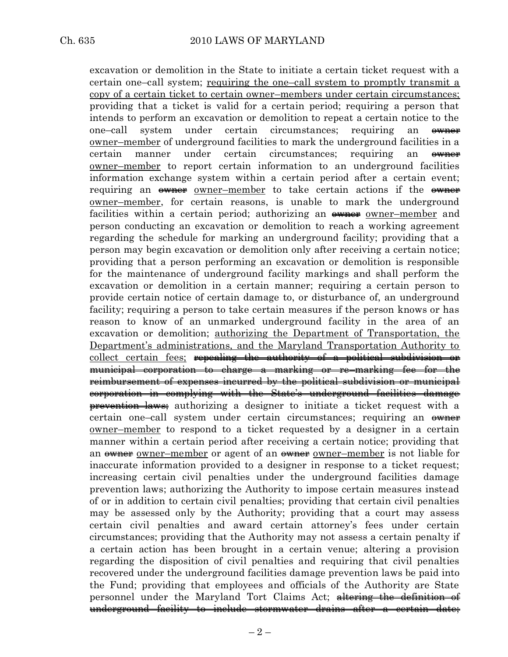excavation or demolition in the State to initiate a certain ticket request with a certain one–call system; requiring the one–call system to promptly transmit a copy of a certain ticket to certain owner–members under certain circumstances; providing that a ticket is valid for a certain period; requiring a person that intends to perform an excavation or demolition to repeat a certain notice to the one–call system under certain circumstances; requiring an <del>owner</del> owner–member of underground facilities to mark the underground facilities in a certain manner under certain circumstances; requiring an ewner owner–member to report certain information to an underground facilities information exchange system within a certain period after a certain event; requiring an <del>owner</del> owner–member to take certain actions if the owner owner–member, for certain reasons, is unable to mark the underground facilities within a certain period; authorizing an  $\frac{1}{2}$  owner–member and person conducting an excavation or demolition to reach a working agreement regarding the schedule for marking an underground facility; providing that a person may begin excavation or demolition only after receiving a certain notice; providing that a person performing an excavation or demolition is responsible for the maintenance of underground facility markings and shall perform the excavation or demolition in a certain manner; requiring a certain person to provide certain notice of certain damage to, or disturbance of, an underground facility; requiring a person to take certain measures if the person knows or has reason to know of an unmarked underground facility in the area of an excavation or demolition; authorizing the Department of Transportation, the Department's administrations, and the Maryland Transportation Authority to collect certain fees; repealing the authority of a political subdivision or municipal corporation to charge a marking or re–marking fee for the reimbursement of expenses incurred by the political subdivision or municipal corporation in complying with the State's underground facilities damage prevention laws; authorizing a designer to initiate a ticket request with a certain one–call system under certain circumstances; requiring an  $\theta$ owner–member to respond to a ticket requested by a designer in a certain manner within a certain period after receiving a certain notice; providing that an <del>owner</del> owner–member or agent of an <del>owner</del> owner–member is not liable for inaccurate information provided to a designer in response to a ticket request; increasing certain civil penalties under the underground facilities damage prevention laws; authorizing the Authority to impose certain measures instead of or in addition to certain civil penalties; providing that certain civil penalties may be assessed only by the Authority; providing that a court may assess certain civil penalties and award certain attorney's fees under certain circumstances; providing that the Authority may not assess a certain penalty if a certain action has been brought in a certain venue; altering a provision regarding the disposition of civil penalties and requiring that civil penalties recovered under the underground facilities damage prevention laws be paid into the Fund; providing that employees and officials of the Authority are State personnel under the Maryland Tort Claims Act; altering the definition underground facility to include stormwater drains after a certain date;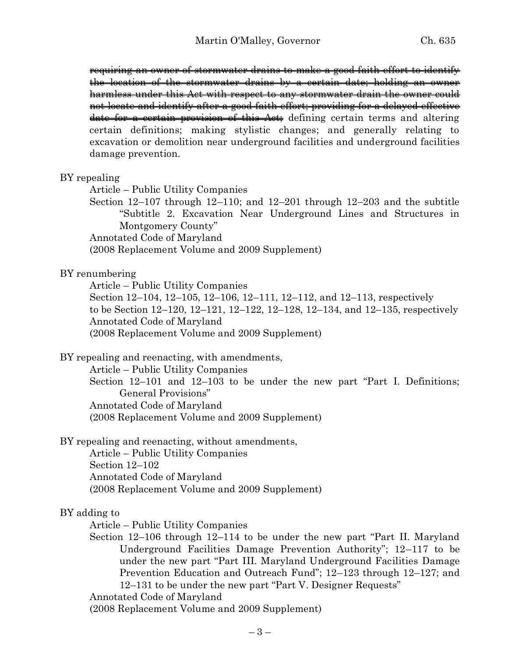requiring an owner of stormwater drains to make a good faith effort to identify the location of the stormwater drains by a certain date; holding an owner harmless under this Act with respect to any stormwater drain the owner could not locate and identify after a good faith effort; providing for a delayed effective date for a certain provision of this Act; defining certain terms and altering certain definitions; making stylistic changes; and generally relating to excavation or demolition near underground facilities and underground facilities damage prevention.

#### BY repealing

Article – Public Utility Companies

Section 12–107 through 12–110; and 12–201 through 12–203 and the subtitle "Subtitle 2. Excavation Near Underground Lines and Structures in Montgomery County"

Annotated Code of Maryland

(2008 Replacement Volume and 2009 Supplement)

#### BY renumbering

Article – Public Utility Companies Section 12–104, 12–105, 12–106, 12–111, 12–112, and 12–113, respectively to be Section 12–120, 12–121, 12–122, 12–128, 12–134, and 12–135, respectively Annotated Code of Maryland (2008 Replacement Volume and 2009 Supplement)

BY repealing and reenacting, with amendments,

Article – Public Utility Companies

Section 12–101 and 12–103 to be under the new part "Part I. Definitions; General Provisions" Annotated Code of Maryland (2008 Replacement Volume and 2009 Supplement)

BY repealing and reenacting, without amendments,

Article – Public Utility Companies Section 12–102 Annotated Code of Maryland (2008 Replacement Volume and 2009 Supplement)

#### BY adding to

Article – Public Utility Companies

Section 12–106 through 12–114 to be under the new part "Part II. Maryland Underground Facilities Damage Prevention Authority"; 12–117 to be under the new part "Part III. Maryland Underground Facilities Damage Prevention Education and Outreach Fund"; 12–123 through 12–127; and 12–131 to be under the new part "Part V. Designer Requests"

Annotated Code of Maryland

(2008 Replacement Volume and 2009 Supplement)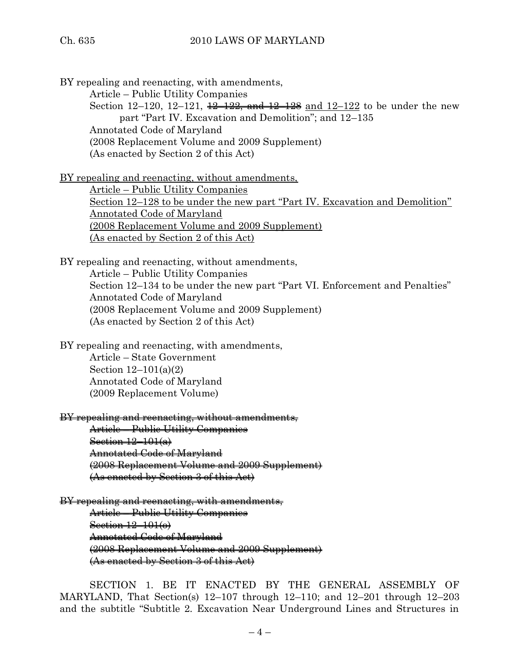BY repealing and reenacting, with amendments,

Article – Public Utility Companies

Section 12–120, 12–121,  $\frac{12}{22}$ , and  $\frac{12}{22}$  and 12–122 to be under the new part "Part IV. Excavation and Demolition"; and 12–135 Annotated Code of Maryland (2008 Replacement Volume and 2009 Supplement) (As enacted by Section 2 of this Act)

BY repealing and reenacting, without amendments,

Article – Public Utility Companies Section 12–128 to be under the new part "Part IV. Excavation and Demolition" Annotated Code of Maryland (2008 Replacement Volume and 2009 Supplement) (As enacted by Section 2 of this Act)

BY repealing and reenacting, without amendments, Article – Public Utility Companies Section 12–134 to be under the new part "Part VI. Enforcement and Penalties" Annotated Code of Maryland (2008 Replacement Volume and 2009 Supplement) (As enacted by Section 2 of this Act)

BY repealing and reenacting, with amendments,

Article – State Government Section 12–101(a)(2) Annotated Code of Maryland (2009 Replacement Volume)

BY repealing and reenacting, without amendments,

Article – Public Utility Companies Section  $12-101(a)$ Annotated Code of Maryland (2008 Replacement Volume and 2009 Supplement) (As enacted by Section 3 of this Act)

BY repealing and reenacting, with amendments, Article – Public Utility Companies Section 12-101(o) Annotated Code of Maryland (2008 Replacement Volume and 2009 Supplement) (As enacted by Section 3 of this Act)

SECTION 1. BE IT ENACTED BY THE GENERAL ASSEMBLY OF MARYLAND, That Section(s)  $12-107$  through  $12-110$ ; and  $12-201$  through  $12-203$ and the subtitle "Subtitle 2. Excavation Near Underground Lines and Structures in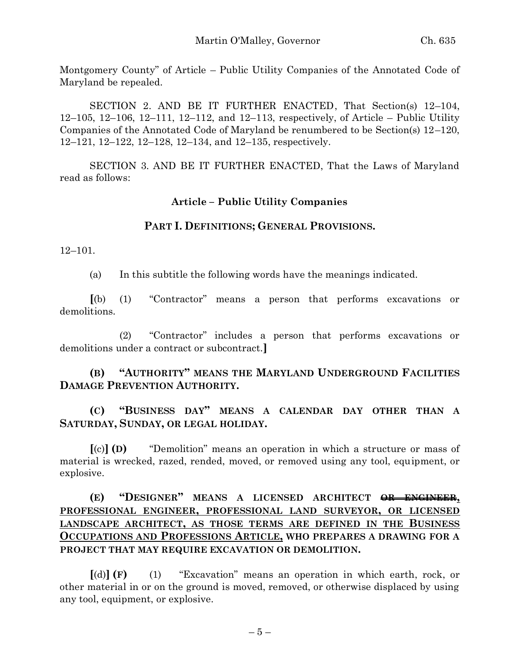Montgomery County" of Article – Public Utility Companies of the Annotated Code of Maryland be repealed.

SECTION 2. AND BE IT FURTHER ENACTED, That Section(s) 12–104, 12–105, 12–106, 12–111, 12–112, and 12–113, respectively, of Article – Public Utility Companies of the Annotated Code of Maryland be renumbered to be Section(s) 12–120, 12–121, 12–122, 12–128, 12–134, and 12–135, respectively.

SECTION 3. AND BE IT FURTHER ENACTED, That the Laws of Maryland read as follows:

#### **Article – Public Utility Companies**

#### **PART I. DEFINITIONS; GENERAL PROVISIONS.**

12–101.

(a) In this subtitle the following words have the meanings indicated.

**[**(b) (1) "Contractor" means a person that performs excavations or demolitions.

(2) "Contractor" includes a person that performs excavations or demolitions under a contract or subcontract.**]**

# **(B) "AUTHORITY" MEANS THE MARYLAND UNDERGROUND FACILITIES DAMAGE PREVENTION AUTHORITY.**

# **(C) "BUSINESS DAY" MEANS A CALENDAR DAY OTHER THAN A SATURDAY, SUNDAY, OR LEGAL HOLIDAY.**

**[**(c)**] (D)** "Demolition" means an operation in which a structure or mass of material is wrecked, razed, rended, moved, or removed using any tool, equipment, or explosive.

# **(E) "DESIGNER" MEANS A LICENSED ARCHITECT OR ENGINEER, PROFESSIONAL ENGINEER, PROFESSIONAL LAND SURVEYOR, OR LICENSED LANDSCAPE ARCHITECT, AS THOSE TERMS ARE DEFINED IN THE BUSINESS OCCUPATIONS AND PROFESSIONS ARTICLE, WHO PREPARES A DRAWING FOR A PROJECT THAT MAY REQUIRE EXCAVATION OR DEMOLITION.**

**[**(d)**] (F)** (1) "Excavation" means an operation in which earth, rock, or other material in or on the ground is moved, removed, or otherwise displaced by using any tool, equipment, or explosive.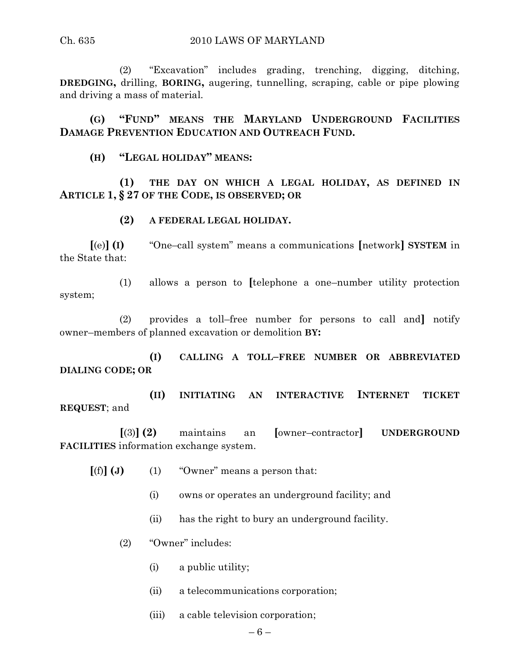#### Ch. 635 2010 LAWS OF MARYLAND

(2) "Excavation" includes grading, trenching, digging, ditching, **DREDGING,** drilling, **BORING,** augering, tunnelling, scraping, cable or pipe plowing and driving a mass of material.

**(G) "FUND" MEANS THE MARYLAND UNDERGROUND FACILITIES DAMAGE PREVENTION EDUCATION AND OUTREACH FUND.**

**(H) "LEGAL HOLIDAY" MEANS:**

**(1) THE DAY ON WHICH A LEGAL HOLIDAY, AS DEFINED IN ARTICLE 1, § 27 OF THE CODE, IS OBSERVED; OR**

**(2) A FEDERAL LEGAL HOLIDAY.**

**[**(e)**] (I)** "One–call system" means a communications **[**network**] SYSTEM** in the State that:

(1) allows a person to **[**telephone a one–number utility protection system;

(2) provides a toll–free number for persons to call and**]** notify owner–members of planned excavation or demolition **BY:**

**(I) CALLING A TOLL–FREE NUMBER OR ABBREVIATED DIALING CODE; OR**

**(II) INITIATING AN INTERACTIVE INTERNET TICKET REQUEST**; and

**[**(3)**] (2)** maintains an **[**owner–contractor**] UNDERGROUND FACILITIES** information exchange system.

- $[(f)] (J)$  (1) "Owner" means a person that:
	- (i) owns or operates an underground facility; and
	- (ii) has the right to bury an underground facility.
	- (2) "Owner" includes:
		- (i) a public utility;
		- (ii) a telecommunications corporation;
		- (iii) a cable television corporation;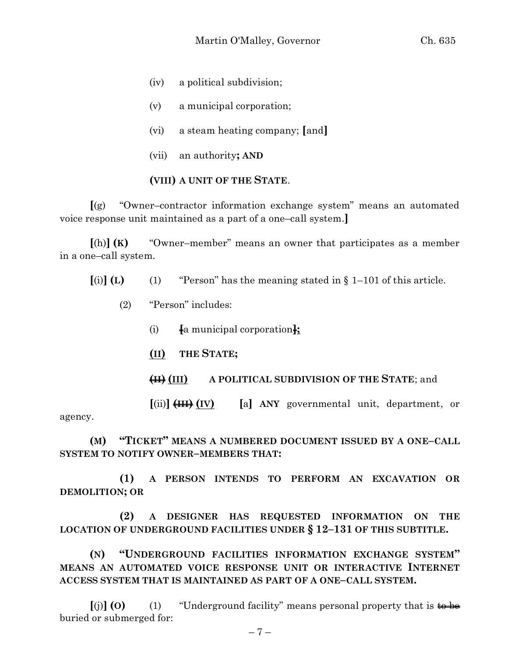- (iv) a political subdivision;
- (v) a municipal corporation;
- (vi) a steam heating company; **[**and**]**
- (vii) an authority**; AND**

#### **(VIII) A UNIT OF THE STATE**.

**[**(g) "Owner–contractor information exchange system" means an automated voice response unit maintained as a part of a one–call system.**]**

**[**(h)**] (K)** "Owner–member" means an owner that participates as a member in a one–call system.

 $\begin{bmatrix} \text{(i)} & \text{(L)} & \text{(1)} & \text{``Person''} \text{ has the meaning stated in § } 1-101 \text{ of this article.} \end{bmatrix}$ 

- (2) "Person" includes:
	- (i) **[**a municipal corporation**];**
	- **(II) THE STATE;**
	- **(II) (III) A POLITICAL SUBDIVISION OF THE STATE**; and

**[**(ii)**] (III) (IV) [**a**] ANY** governmental unit, department, or

agency.

**(M) "TICKET" MEANS A NUMBERED DOCUMENT ISSUED BY A ONE–CALL SYSTEM TO NOTIFY OWNER–MEMBERS THAT:**

**(1) A PERSON INTENDS TO PERFORM AN EXCAVATION OR DEMOLITION; OR** 

**(2) A DESIGNER HAS REQUESTED INFORMATION ON THE LOCATION OF UNDERGROUND FACILITIES UNDER § 12–131 OF THIS SUBTITLE.**

**(N) "UNDERGROUND FACILITIES INFORMATION EXCHANGE SYSTEM" MEANS AN AUTOMATED VOICE RESPONSE UNIT OR INTERACTIVE INTERNET ACCESS SYSTEM THAT IS MAINTAINED AS PART OF A ONE–CALL SYSTEM.**

 $\lbrack \text{ (j)} \rbrack$  **(0)** (1) "Underground facility" means personal property that is  $\downarrow \text{ (j)}$ buried or submerged for: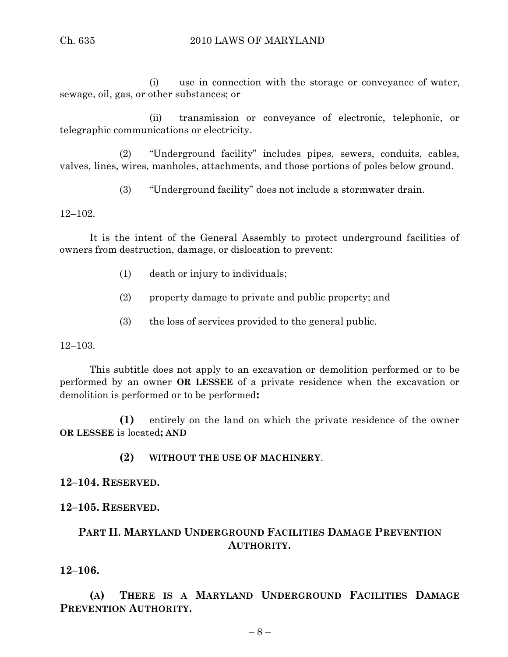(i) use in connection with the storage or conveyance of water, sewage, oil, gas, or other substances; or

(ii) transmission or conveyance of electronic, telephonic, or telegraphic communications or electricity.

(2) "Underground facility" includes pipes, sewers, conduits, cables, valves, lines, wires, manholes, attachments, and those portions of poles below ground.

(3) "Underground facility" does not include a stormwater drain.

12–102.

It is the intent of the General Assembly to protect underground facilities of owners from destruction, damage, or dislocation to prevent:

- (1) death or injury to individuals;
- (2) property damage to private and public property; and
- (3) the loss of services provided to the general public.

12–103.

This subtitle does not apply to an excavation or demolition performed or to be performed by an owner **OR LESSEE** of a private residence when the excavation or demolition is performed or to be performed**:**

**(1)** entirely on the land on which the private residence of the owner **OR LESSEE** is located**; AND**

#### **(2) WITHOUT THE USE OF MACHINERY**.

**12–104. RESERVED.**

**12–105. RESERVED.**

# **PART II. MARYLAND UNDERGROUND FACILITIES DAMAGE PREVENTION AUTHORITY.**

**12–106.**

**(A) THERE IS A MARYLAND UNDERGROUND FACILITIES DAMAGE PREVENTION AUTHORITY.**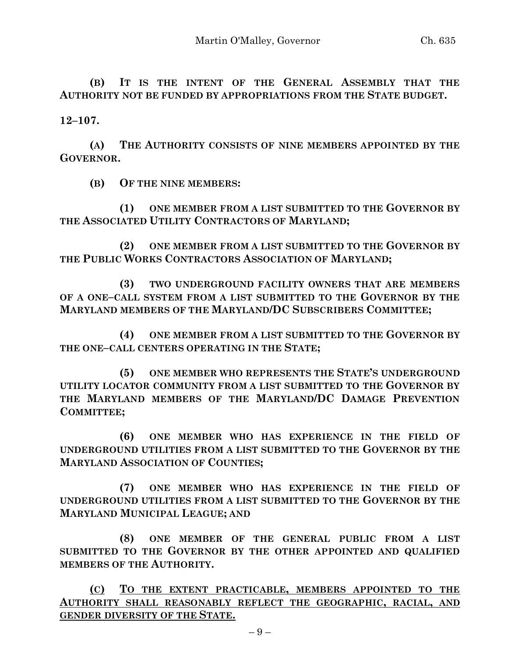**(B) IT IS THE INTENT OF THE GENERAL ASSEMBLY THAT THE AUTHORITY NOT BE FUNDED BY APPROPRIATIONS FROM THE STATE BUDGET.**

**12–107.**

**(A) THE AUTHORITY CONSISTS OF NINE MEMBERS APPOINTED BY THE GOVERNOR.**

**(B) OF THE NINE MEMBERS:**

**(1) ONE MEMBER FROM A LIST SUBMITTED TO THE GOVERNOR BY THE ASSOCIATED UTILITY CONTRACTORS OF MARYLAND;**

**(2) ONE MEMBER FROM A LIST SUBMITTED TO THE GOVERNOR BY THE PUBLIC WORKS CONTRACTORS ASSOCIATION OF MARYLAND;**

**(3) TWO UNDERGROUND FACILITY OWNERS THAT ARE MEMBERS OF A ONE–CALL SYSTEM FROM A LIST SUBMITTED TO THE GOVERNOR BY THE MARYLAND MEMBERS OF THE MARYLAND/DC SUBSCRIBERS COMMITTEE;**

**(4) ONE MEMBER FROM A LIST SUBMITTED TO THE GOVERNOR BY THE ONE–CALL CENTERS OPERATING IN THE STATE;**

**(5) ONE MEMBER WHO REPRESENTS THE STATE'S UNDERGROUND UTILITY LOCATOR COMMUNITY FROM A LIST SUBMITTED TO THE GOVERNOR BY THE MARYLAND MEMBERS OF THE MARYLAND/DC DAMAGE PREVENTION COMMITTEE;**

**(6) ONE MEMBER WHO HAS EXPERIENCE IN THE FIELD OF UNDERGROUND UTILITIES FROM A LIST SUBMITTED TO THE GOVERNOR BY THE MARYLAND ASSOCIATION OF COUNTIES;**

**(7) ONE MEMBER WHO HAS EXPERIENCE IN THE FIELD OF UNDERGROUND UTILITIES FROM A LIST SUBMITTED TO THE GOVERNOR BY THE MARYLAND MUNICIPAL LEAGUE; AND**

**(8) ONE MEMBER OF THE GENERAL PUBLIC FROM A LIST SUBMITTED TO THE GOVERNOR BY THE OTHER APPOINTED AND QUALIFIED MEMBERS OF THE AUTHORITY.**

**(C) TO THE EXTENT PRACTICABLE, MEMBERS APPOINTED TO THE AUTHORITY SHALL REASONABLY REFLECT THE GEOGRAPHIC, RACIAL, AND GENDER DIVERSITY OF THE STATE.**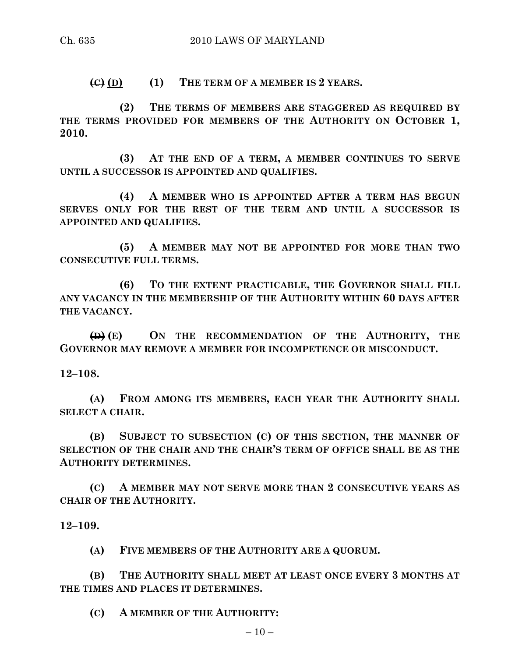$\left(\bigoplus_{i=1}^{\infty} I(E_i)\right)$  **(1) THE TERM OF A MEMBER IS 2 YEARS.** 

**(2) THE TERMS OF MEMBERS ARE STAGGERED AS REQUIRED BY THE TERMS PROVIDED FOR MEMBERS OF THE AUTHORITY ON OCTOBER 1, 2010.**

**(3) AT THE END OF A TERM, A MEMBER CONTINUES TO SERVE UNTIL A SUCCESSOR IS APPOINTED AND QUALIFIES.**

**(4) A MEMBER WHO IS APPOINTED AFTER A TERM HAS BEGUN SERVES ONLY FOR THE REST OF THE TERM AND UNTIL A SUCCESSOR IS APPOINTED AND QUALIFIES.**

**(5) A MEMBER MAY NOT BE APPOINTED FOR MORE THAN TWO CONSECUTIVE FULL TERMS.**

**(6) TO THE EXTENT PRACTICABLE, THE GOVERNOR SHALL FILL ANY VACANCY IN THE MEMBERSHIP OF THE AUTHORITY WITHIN 60 DAYS AFTER THE VACANCY.**

**(D) (E) ON THE RECOMMENDATION OF THE AUTHORITY, THE GOVERNOR MAY REMOVE A MEMBER FOR INCOMPETENCE OR MISCONDUCT.**

**12–108.**

**(A) FROM AMONG ITS MEMBERS, EACH YEAR THE AUTHORITY SHALL SELECT A CHAIR.**

**(B) SUBJECT TO SUBSECTION (C) OF THIS SECTION, THE MANNER OF SELECTION OF THE CHAIR AND THE CHAIR'S TERM OF OFFICE SHALL BE AS THE AUTHORITY DETERMINES.**

**(C) A MEMBER MAY NOT SERVE MORE THAN 2 CONSECUTIVE YEARS AS CHAIR OF THE AUTHORITY.**

**12–109.**

**(A) FIVE MEMBERS OF THE AUTHORITY ARE A QUORUM.**

**(B) THE AUTHORITY SHALL MEET AT LEAST ONCE EVERY 3 MONTHS AT THE TIMES AND PLACES IT DETERMINES.**

**(C) A MEMBER OF THE AUTHORITY:**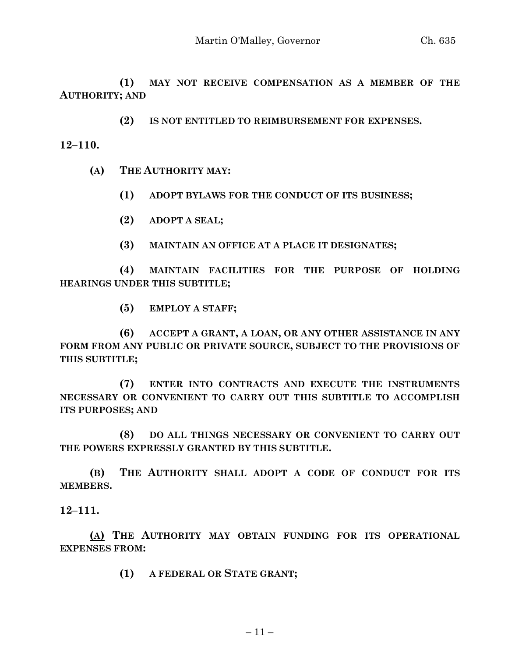**(1) MAY NOT RECEIVE COMPENSATION AS A MEMBER OF THE AUTHORITY; AND** 

**(2) IS NOT ENTITLED TO REIMBURSEMENT FOR EXPENSES.**

**12–110.**

**(A) THE AUTHORITY MAY:**

**(1) ADOPT BYLAWS FOR THE CONDUCT OF ITS BUSINESS;**

**(2) ADOPT A SEAL;**

**(3) MAINTAIN AN OFFICE AT A PLACE IT DESIGNATES;**

**(4) MAINTAIN FACILITIES FOR THE PURPOSE OF HOLDING HEARINGS UNDER THIS SUBTITLE;**

**(5) EMPLOY A STAFF;**

**(6) ACCEPT A GRANT, A LOAN, OR ANY OTHER ASSISTANCE IN ANY FORM FROM ANY PUBLIC OR PRIVATE SOURCE, SUBJECT TO THE PROVISIONS OF THIS SUBTITLE;**

**(7) ENTER INTO CONTRACTS AND EXECUTE THE INSTRUMENTS NECESSARY OR CONVENIENT TO CARRY OUT THIS SUBTITLE TO ACCOMPLISH ITS PURPOSES; AND**

**(8) DO ALL THINGS NECESSARY OR CONVENIENT TO CARRY OUT THE POWERS EXPRESSLY GRANTED BY THIS SUBTITLE.**

**(B) THE AUTHORITY SHALL ADOPT A CODE OF CONDUCT FOR ITS MEMBERS.**

**12–111.**

**(A) THE AUTHORITY MAY OBTAIN FUNDING FOR ITS OPERATIONAL EXPENSES FROM:**

**(1) A FEDERAL OR STATE GRANT;**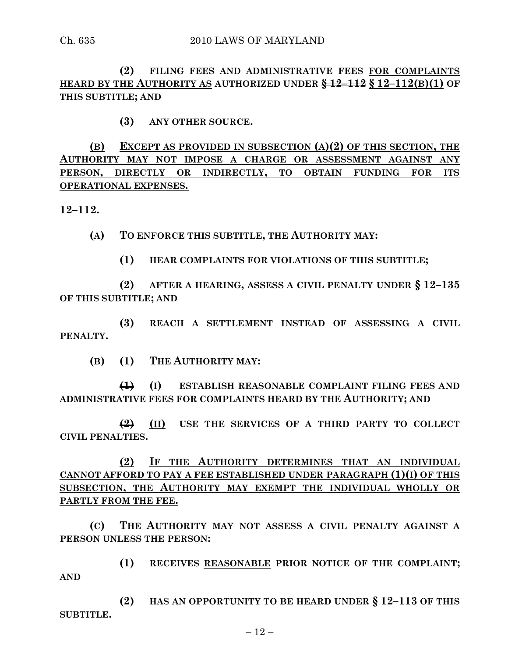**(2) FILING FEES AND ADMINISTRATIVE FEES FOR COMPLAINTS HEARD BY THE AUTHORITY AS AUTHORIZED UNDER § 12–112 § 12–112(B)(1) OF THIS SUBTITLE; AND**

**(3) ANY OTHER SOURCE.**

**(B) EXCEPT AS PROVIDED IN SUBSECTION (A)(2) OF THIS SECTION, THE AUTHORITY MAY NOT IMPOSE A CHARGE OR ASSESSMENT AGAINST ANY PERSON, DIRECTLY OR INDIRECTLY, TO OBTAIN FUNDING FOR ITS OPERATIONAL EXPENSES.**

**12–112.**

**(A) TO ENFORCE THIS SUBTITLE, THE AUTHORITY MAY:**

**(1) HEAR COMPLAINTS FOR VIOLATIONS OF THIS SUBTITLE;**

**(2) AFTER A HEARING, ASSESS A CIVIL PENALTY UNDER § 12–135 OF THIS SUBTITLE; AND**

**(3) REACH A SETTLEMENT INSTEAD OF ASSESSING A CIVIL PENALTY.**

**(B) (1) THE AUTHORITY MAY:**

**(1) (I) ESTABLISH REASONABLE COMPLAINT FILING FEES AND ADMINISTRATIVE FEES FOR COMPLAINTS HEARD BY THE AUTHORITY; AND**

**(2) (II) USE THE SERVICES OF A THIRD PARTY TO COLLECT CIVIL PENALTIES.**

**(2) IF THE AUTHORITY DETERMINES THAT AN INDIVIDUAL CANNOT AFFORD TO PAY A FEE ESTABLISHED UNDER PARAGRAPH (1)(I) OF THIS SUBSECTION, THE AUTHORITY MAY EXEMPT THE INDIVIDUAL WHOLLY OR PARTLY FROM THE FEE.**

**(C) THE AUTHORITY MAY NOT ASSESS A CIVIL PENALTY AGAINST A PERSON UNLESS THE PERSON:**

**(1) RECEIVES REASONABLE PRIOR NOTICE OF THE COMPLAINT; AND**

**(2) HAS AN OPPORTUNITY TO BE HEARD UNDER § 12–113 OF THIS SUBTITLE.**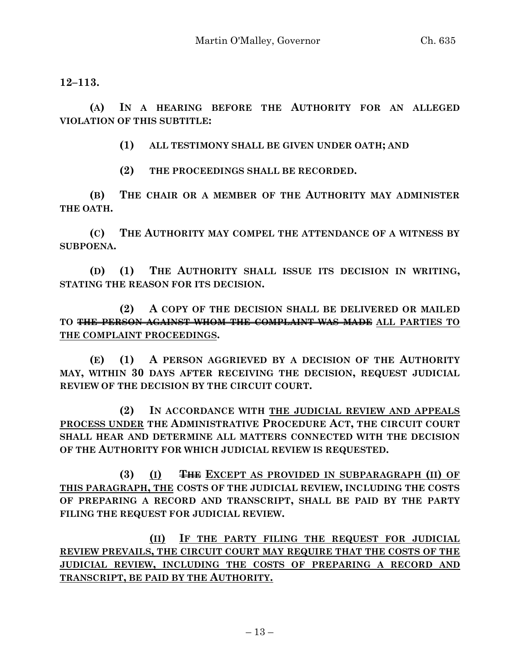**12–113.**

**(A) IN A HEARING BEFORE THE AUTHORITY FOR AN ALLEGED VIOLATION OF THIS SUBTITLE:**

**(1) ALL TESTIMONY SHALL BE GIVEN UNDER OATH; AND**

**(2) THE PROCEEDINGS SHALL BE RECORDED.**

**(B) THE CHAIR OR A MEMBER OF THE AUTHORITY MAY ADMINISTER THE OATH.**

**(C) THE AUTHORITY MAY COMPEL THE ATTENDANCE OF A WITNESS BY SUBPOENA.**

**(D) (1) THE AUTHORITY SHALL ISSUE ITS DECISION IN WRITING, STATING THE REASON FOR ITS DECISION.**

**(2) A COPY OF THE DECISION SHALL BE DELIVERED OR MAILED TO THE PERSON AGAINST WHOM THE COMPLAINT WAS MADE ALL PARTIES TO THE COMPLAINT PROCEEDINGS.**

**(E) (1) A PERSON AGGRIEVED BY A DECISION OF THE AUTHORITY MAY, WITHIN 30 DAYS AFTER RECEIVING THE DECISION, REQUEST JUDICIAL REVIEW OF THE DECISION BY THE CIRCUIT COURT.**

**(2) IN ACCORDANCE WITH THE JUDICIAL REVIEW AND APPEALS PROCESS UNDER THE ADMINISTRATIVE PROCEDURE ACT, THE CIRCUIT COURT SHALL HEAR AND DETERMINE ALL MATTERS CONNECTED WITH THE DECISION OF THE AUTHORITY FOR WHICH JUDICIAL REVIEW IS REQUESTED.**

**(3) (I) THE EXCEPT AS PROVIDED IN SUBPARAGRAPH (II) OF THIS PARAGRAPH, THE COSTS OF THE JUDICIAL REVIEW, INCLUDING THE COSTS OF PREPARING A RECORD AND TRANSCRIPT, SHALL BE PAID BY THE PARTY FILING THE REQUEST FOR JUDICIAL REVIEW.**

**(II) IF THE PARTY FILING THE REQUEST FOR JUDICIAL REVIEW PREVAILS, THE CIRCUIT COURT MAY REQUIRE THAT THE COSTS OF THE JUDICIAL REVIEW, INCLUDING THE COSTS OF PREPARING A RECORD AND TRANSCRIPT, BE PAID BY THE AUTHORITY.**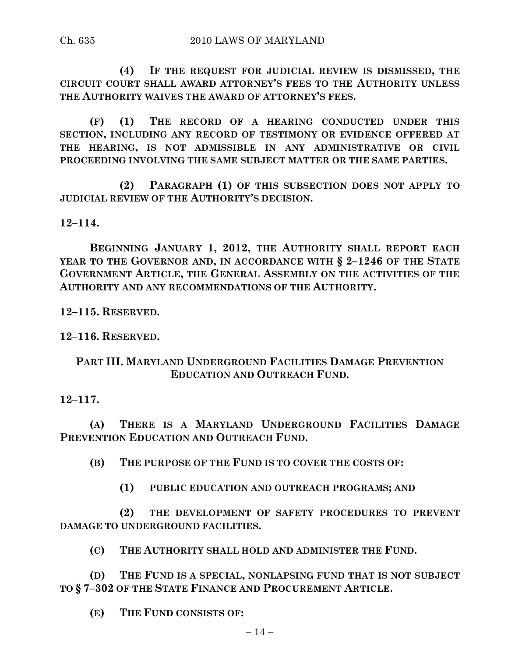**(4) IF THE REQUEST FOR JUDICIAL REVIEW IS DISMISSED, THE CIRCUIT COURT SHALL AWARD ATTORNEY'S FEES TO THE AUTHORITY UNLESS THE AUTHORITY WAIVES THE AWARD OF ATTORNEY'S FEES.**

**(F) (1) THE RECORD OF A HEARING CONDUCTED UNDER THIS SECTION, INCLUDING ANY RECORD OF TESTIMONY OR EVIDENCE OFFERED AT THE HEARING, IS NOT ADMISSIBLE IN ANY ADMINISTRATIVE OR CIVIL PROCEEDING INVOLVING THE SAME SUBJECT MATTER OR THE SAME PARTIES.**

**(2) PARAGRAPH (1) OF THIS SUBSECTION DOES NOT APPLY TO JUDICIAL REVIEW OF THE AUTHORITY'S DECISION.**

**12–114.**

**BEGINNING JANUARY 1, 2012, THE AUTHORITY SHALL REPORT EACH YEAR TO THE GOVERNOR AND, IN ACCORDANCE WITH § 2–1246 OF THE STATE GOVERNMENT ARTICLE, THE GENERAL ASSEMBLY ON THE ACTIVITIES OF THE AUTHORITY AND ANY RECOMMENDATIONS OF THE AUTHORITY.**

**12–115. RESERVED.**

**12–116. RESERVED.**

# **PART III. MARYLAND UNDERGROUND FACILITIES DAMAGE PREVENTION EDUCATION AND OUTREACH FUND.**

# **12–117.**

**(A) THERE IS A MARYLAND UNDERGROUND FACILITIES DAMAGE PREVENTION EDUCATION AND OUTREACH FUND.**

**(B) THE PURPOSE OF THE FUND IS TO COVER THE COSTS OF:**

**(1) PUBLIC EDUCATION AND OUTREACH PROGRAMS; AND**

**(2) THE DEVELOPMENT OF SAFETY PROCEDURES TO PREVENT DAMAGE TO UNDERGROUND FACILITIES.**

**(C) THE AUTHORITY SHALL HOLD AND ADMINISTER THE FUND.**

**(D) THE FUND IS A SPECIAL, NONLAPSING FUND THAT IS NOT SUBJECT TO § 7–302 OF THE STATE FINANCE AND PROCUREMENT ARTICLE.**

**(E) THE FUND CONSISTS OF:**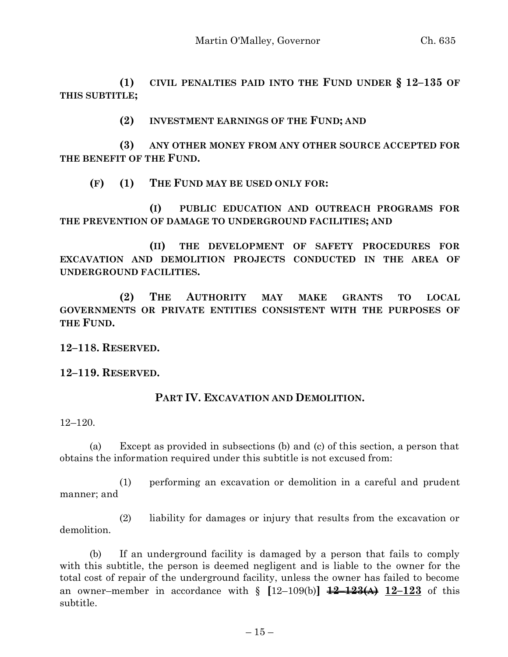**(1) CIVIL PENALTIES PAID INTO THE FUND UNDER § 12–135 OF THIS SUBTITLE;**

**(2) INVESTMENT EARNINGS OF THE FUND; AND**

**(3) ANY OTHER MONEY FROM ANY OTHER SOURCE ACCEPTED FOR THE BENEFIT OF THE FUND.**

**(F) (1) THE FUND MAY BE USED ONLY FOR:**

**(I) PUBLIC EDUCATION AND OUTREACH PROGRAMS FOR THE PREVENTION OF DAMAGE TO UNDERGROUND FACILITIES; AND**

**(II) THE DEVELOPMENT OF SAFETY PROCEDURES FOR EXCAVATION AND DEMOLITION PROJECTS CONDUCTED IN THE AREA OF UNDERGROUND FACILITIES.**

**(2) THE AUTHORITY MAY MAKE GRANTS TO LOCAL GOVERNMENTS OR PRIVATE ENTITIES CONSISTENT WITH THE PURPOSES OF THE FUND.**

**12–118. RESERVED.**

**12–119. RESERVED.**

#### **PART IV. EXCAVATION AND DEMOLITION.**

12–120.

(a) Except as provided in subsections (b) and (c) of this section, a person that obtains the information required under this subtitle is not excused from:

(1) performing an excavation or demolition in a careful and prudent manner; and

(2) liability for damages or injury that results from the excavation or demolition.

(b) If an underground facility is damaged by a person that fails to comply with this subtitle, the person is deemed negligent and is liable to the owner for the total cost of repair of the underground facility, unless the owner has failed to become an owner–member in accordance with  $\S$   $[12-109(b)]$   $\frac{12}{12}$   $\frac{123(A)}{12}$   $12-123$  of this subtitle.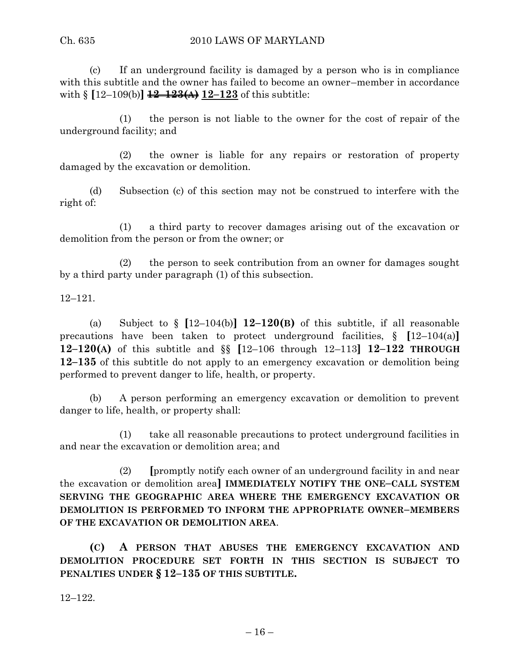(c) If an underground facility is damaged by a person who is in compliance with this subtitle and the owner has failed to become an owner–member in accordance with § **[**12–109(b)**] 12–123(A) 12–123** of this subtitle:

(1) the person is not liable to the owner for the cost of repair of the underground facility; and

(2) the owner is liable for any repairs or restoration of property damaged by the excavation or demolition.

(d) Subsection (c) of this section may not be construed to interfere with the right of:

(1) a third party to recover damages arising out of the excavation or demolition from the person or from the owner; or

(2) the person to seek contribution from an owner for damages sought by a third party under paragraph (1) of this subsection.

12–121.

(a) Subject to § **[**12–104(b)**] 12–120(B)** of this subtitle, if all reasonable precautions have been taken to protect underground facilities, § **[**12–104(a)**] 12–120(A)** of this subtitle and §§ **[**12–106 through 12–113**] 12–122 THROUGH 12–135** of this subtitle do not apply to an emergency excavation or demolition being performed to prevent danger to life, health, or property.

(b) A person performing an emergency excavation or demolition to prevent danger to life, health, or property shall:

(1) take all reasonable precautions to protect underground facilities in and near the excavation or demolition area; and

(2) **[**promptly notify each owner of an underground facility in and near the excavation or demolition area**] IMMEDIATELY NOTIFY THE ONE–CALL SYSTEM SERVING THE GEOGRAPHIC AREA WHERE THE EMERGENCY EXCAVATION OR DEMOLITION IS PERFORMED TO INFORM THE APPROPRIATE OWNER–MEMBERS OF THE EXCAVATION OR DEMOLITION AREA**.

**(C) A PERSON THAT ABUSES THE EMERGENCY EXCAVATION AND DEMOLITION PROCEDURE SET FORTH IN THIS SECTION IS SUBJECT TO PENALTIES UNDER § 12–135 OF THIS SUBTITLE.**

12–122.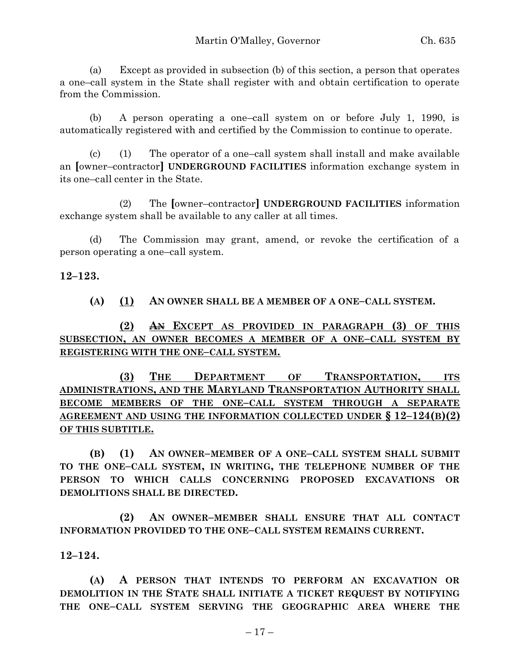(a) Except as provided in subsection (b) of this section, a person that operates a one–call system in the State shall register with and obtain certification to operate from the Commission.

(b) A person operating a one–call system on or before July 1, 1990, is automatically registered with and certified by the Commission to continue to operate.

(c) (1) The operator of a one–call system shall install and make available an **[**owner–contractor**] UNDERGROUND FACILITIES** information exchange system in its one–call center in the State.

(2) The **[**owner–contractor**] UNDERGROUND FACILITIES** information exchange system shall be available to any caller at all times.

(d) The Commission may grant, amend, or revoke the certification of a person operating a one–call system.

**12–123.**

**(A) (1) AN OWNER SHALL BE A MEMBER OF A ONE–CALL SYSTEM.**

**(2) AN EXCEPT AS PROVIDED IN PARAGRAPH (3) OF THIS SUBSECTION, AN OWNER BECOMES A MEMBER OF A ONE–CALL SYSTEM BY REGISTERING WITH THE ONE–CALL SYSTEM.**

**(3) THE DEPARTMENT OF TRANSPORTATION, ITS ADMINISTRATIONS, AND THE MARYLAND TRANSPORTATION AUTHORITY SHALL BECOME MEMBERS OF THE ONE–CALL SYSTEM THROUGH A SEPARATE AGREEMENT AND USING THE INFORMATION COLLECTED UNDER § 12–124(B)(2) OF THIS SUBTITLE.**

**(B) (1) AN OWNER–MEMBER OF A ONE–CALL SYSTEM SHALL SUBMIT TO THE ONE–CALL SYSTEM, IN WRITING, THE TELEPHONE NUMBER OF THE PERSON TO WHICH CALLS CONCERNING PROPOSED EXCAVATIONS OR DEMOLITIONS SHALL BE DIRECTED.**

**(2) AN OWNER–MEMBER SHALL ENSURE THAT ALL CONTACT INFORMATION PROVIDED TO THE ONE–CALL SYSTEM REMAINS CURRENT.**

**12–124.**

**(A) A PERSON THAT INTENDS TO PERFORM AN EXCAVATION OR DEMOLITION IN THE STATE SHALL INITIATE A TICKET REQUEST BY NOTIFYING THE ONE–CALL SYSTEM SERVING THE GEOGRAPHIC AREA WHERE THE**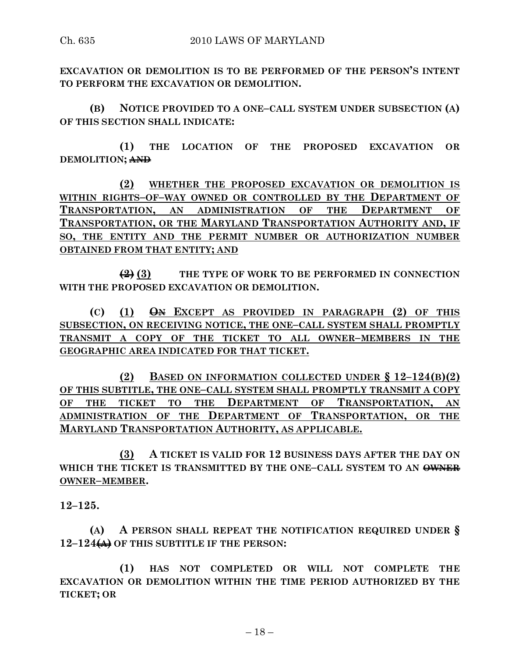**EXCAVATION OR DEMOLITION IS TO BE PERFORMED OF THE PERSON'S INTENT TO PERFORM THE EXCAVATION OR DEMOLITION.**

**(B) NOTICE PROVIDED TO A ONE–CALL SYSTEM UNDER SUBSECTION (A) OF THIS SECTION SHALL INDICATE:**

**(1) THE LOCATION OF THE PROPOSED EXCAVATION OR DEMOLITION; AND**

**(2) WHETHER THE PROPOSED EXCAVATION OR DEMOLITION IS WITHIN RIGHTS–OF–WAY OWNED OR CONTROLLED BY THE DEPARTMENT OF TRANSPORTATION, AN ADMINISTRATION OF THE DEPARTMENT OF TRANSPORTATION, OR THE MARYLAND TRANSPORTATION AUTHORITY AND, IF SO, THE ENTITY AND THE PERMIT NUMBER OR AUTHORIZATION NUMBER OBTAINED FROM THAT ENTITY; AND**

**(2) (3) THE TYPE OF WORK TO BE PERFORMED IN CONNECTION WITH THE PROPOSED EXCAVATION OR DEMOLITION.**

**(C) (1) ON EXCEPT AS PROVIDED IN PARAGRAPH (2) OF THIS SUBSECTION, ON RECEIVING NOTICE, THE ONE–CALL SYSTEM SHALL PROMPTLY TRANSMIT A COPY OF THE TICKET TO ALL OWNER–MEMBERS IN THE GEOGRAPHIC AREA INDICATED FOR THAT TICKET.**

**(2) BASED ON INFORMATION COLLECTED UNDER § 12–124(B)(2) OF THIS SUBTITLE, THE ONE–CALL SYSTEM SHALL PROMPTLY TRANSMIT A COPY OF THE TICKET TO THE DEPARTMENT OF TRANSPORTATION, AN ADMINISTRATION OF THE DEPARTMENT OF TRANSPORTATION, OR THE MARYLAND TRANSPORTATION AUTHORITY, AS APPLICABLE.**

**(3) A TICKET IS VALID FOR 12 BUSINESS DAYS AFTER THE DAY ON WHICH THE TICKET IS TRANSMITTED BY THE ONE–CALL SYSTEM TO AN OWNER OWNER–MEMBER.**

**12–125.**

**(A) A PERSON SHALL REPEAT THE NOTIFICATION REQUIRED UNDER § 12–124(A) OF THIS SUBTITLE IF THE PERSON:**

**(1) HAS NOT COMPLETED OR WILL NOT COMPLETE THE EXCAVATION OR DEMOLITION WITHIN THE TIME PERIOD AUTHORIZED BY THE TICKET; OR**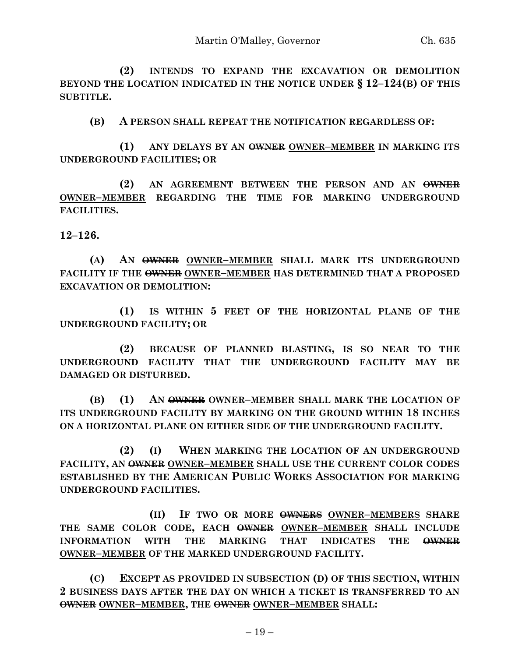**(2) INTENDS TO EXPAND THE EXCAVATION OR DEMOLITION BEYOND THE LOCATION INDICATED IN THE NOTICE UNDER § 12–124(B) OF THIS SUBTITLE.**

**(B) A PERSON SHALL REPEAT THE NOTIFICATION REGARDLESS OF:**

**(1) ANY DELAYS BY AN OWNER OWNER–MEMBER IN MARKING ITS UNDERGROUND FACILITIES; OR**

**(2) AN AGREEMENT BETWEEN THE PERSON AND AN OWNER OWNER–MEMBER REGARDING THE TIME FOR MARKING UNDERGROUND FACILITIES.**

**12–126.**

**(A) AN OWNER OWNER–MEMBER SHALL MARK ITS UNDERGROUND FACILITY IF THE OWNER OWNER–MEMBER HAS DETERMINED THAT A PROPOSED EXCAVATION OR DEMOLITION:**

**(1) IS WITHIN 5 FEET OF THE HORIZONTAL PLANE OF THE UNDERGROUND FACILITY; OR**

**(2) BECAUSE OF PLANNED BLASTING, IS SO NEAR TO THE UNDERGROUND FACILITY THAT THE UNDERGROUND FACILITY MAY BE DAMAGED OR DISTURBED.**

**(B) (1) AN OWNER OWNER–MEMBER SHALL MARK THE LOCATION OF ITS UNDERGROUND FACILITY BY MARKING ON THE GROUND WITHIN 18 INCHES ON A HORIZONTAL PLANE ON EITHER SIDE OF THE UNDERGROUND FACILITY.**

**(2) (I) WHEN MARKING THE LOCATION OF AN UNDERGROUND FACILITY, AN OWNER OWNER–MEMBER SHALL USE THE CURRENT COLOR CODES ESTABLISHED BY THE AMERICAN PUBLIC WORKS ASSOCIATION FOR MARKING UNDERGROUND FACILITIES.**

**(II) IF TWO OR MORE OWNERS OWNER–MEMBERS SHARE THE SAME COLOR CODE, EACH OWNER OWNER–MEMBER SHALL INCLUDE INFORMATION WITH THE MARKING THAT INDICATES THE OWNER OWNER–MEMBER OF THE MARKED UNDERGROUND FACILITY.**

**(C) EXCEPT AS PROVIDED IN SUBSECTION (D) OF THIS SECTION, WITHIN 2 BUSINESS DAYS AFTER THE DAY ON WHICH A TICKET IS TRANSFERRED TO AN OWNER OWNER–MEMBER, THE OWNER OWNER–MEMBER SHALL:**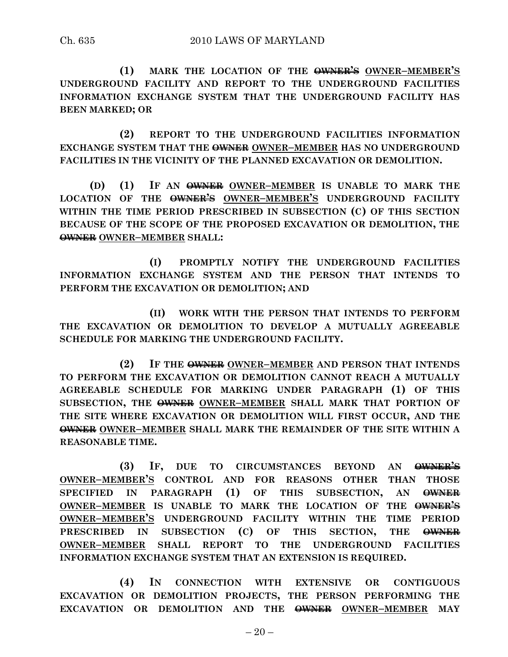**(1) MARK THE LOCATION OF THE OWNER'S OWNER–MEMBER'S UNDERGROUND FACILITY AND REPORT TO THE UNDERGROUND FACILITIES INFORMATION EXCHANGE SYSTEM THAT THE UNDERGROUND FACILITY HAS BEEN MARKED; OR**

**(2) REPORT TO THE UNDERGROUND FACILITIES INFORMATION EXCHANGE SYSTEM THAT THE OWNER OWNER–MEMBER HAS NO UNDERGROUND FACILITIES IN THE VICINITY OF THE PLANNED EXCAVATION OR DEMOLITION.**

**(D) (1) IF AN OWNER OWNER–MEMBER IS UNABLE TO MARK THE LOCATION OF THE OWNER'S OWNER–MEMBER'S UNDERGROUND FACILITY WITHIN THE TIME PERIOD PRESCRIBED IN SUBSECTION (C) OF THIS SECTION BECAUSE OF THE SCOPE OF THE PROPOSED EXCAVATION OR DEMOLITION, THE OWNER OWNER–MEMBER SHALL:**

**(I) PROMPTLY NOTIFY THE UNDERGROUND FACILITIES INFORMATION EXCHANGE SYSTEM AND THE PERSON THAT INTENDS TO PERFORM THE EXCAVATION OR DEMOLITION; AND**

**(II) WORK WITH THE PERSON THAT INTENDS TO PERFORM THE EXCAVATION OR DEMOLITION TO DEVELOP A MUTUALLY AGREEABLE SCHEDULE FOR MARKING THE UNDERGROUND FACILITY.**

**(2) IF THE OWNER OWNER–MEMBER AND PERSON THAT INTENDS TO PERFORM THE EXCAVATION OR DEMOLITION CANNOT REACH A MUTUALLY AGREEABLE SCHEDULE FOR MARKING UNDER PARAGRAPH (1) OF THIS SUBSECTION, THE OWNER OWNER–MEMBER SHALL MARK THAT PORTION OF THE SITE WHERE EXCAVATION OR DEMOLITION WILL FIRST OCCUR, AND THE OWNER OWNER–MEMBER SHALL MARK THE REMAINDER OF THE SITE WITHIN A REASONABLE TIME.**

**(3) IF, DUE TO CIRCUMSTANCES BEYOND AN OWNER'S OWNER–MEMBER'S CONTROL AND FOR REASONS OTHER THAN THOSE SPECIFIED IN PARAGRAPH (1) OF THIS SUBSECTION, AN OWNER OWNER–MEMBER IS UNABLE TO MARK THE LOCATION OF THE OWNER'S OWNER–MEMBER'S UNDERGROUND FACILITY WITHIN THE TIME PERIOD PRESCRIBED IN SUBSECTION (C) OF THIS SECTION, THE OWNER OWNER–MEMBER SHALL REPORT TO THE UNDERGROUND FACILITIES INFORMATION EXCHANGE SYSTEM THAT AN EXTENSION IS REQUIRED.**

**(4) IN CONNECTION WITH EXTENSIVE OR CONTIGUOUS EXCAVATION OR DEMOLITION PROJECTS, THE PERSON PERFORMING THE EXCAVATION OR DEMOLITION AND THE OWNER OWNER–MEMBER MAY**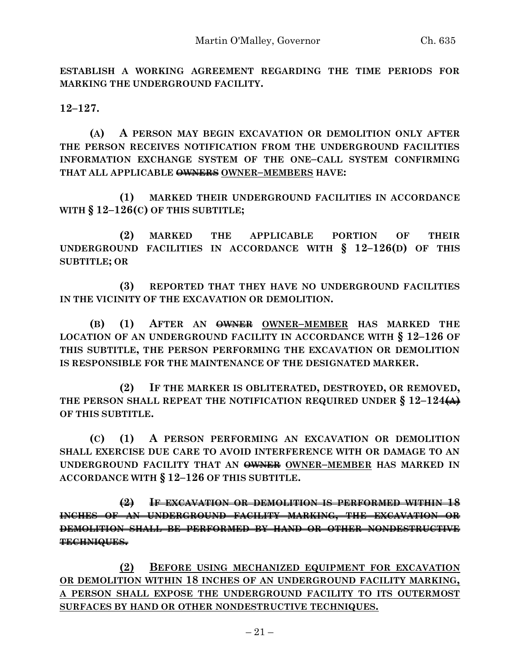**ESTABLISH A WORKING AGREEMENT REGARDING THE TIME PERIODS FOR MARKING THE UNDERGROUND FACILITY.**

**12–127.**

**(A) A PERSON MAY BEGIN EXCAVATION OR DEMOLITION ONLY AFTER THE PERSON RECEIVES NOTIFICATION FROM THE UNDERGROUND FACILITIES INFORMATION EXCHANGE SYSTEM OF THE ONE–CALL SYSTEM CONFIRMING THAT ALL APPLICABLE OWNERS OWNER–MEMBERS HAVE:**

**(1) MARKED THEIR UNDERGROUND FACILITIES IN ACCORDANCE WITH § 12–126(C) OF THIS SUBTITLE;**

**(2) MARKED THE APPLICABLE PORTION OF THEIR UNDERGROUND FACILITIES IN ACCORDANCE WITH § 12–126(D) OF THIS SUBTITLE; OR**

**(3) REPORTED THAT THEY HAVE NO UNDERGROUND FACILITIES IN THE VICINITY OF THE EXCAVATION OR DEMOLITION.**

**(B) (1) AFTER AN OWNER OWNER–MEMBER HAS MARKED THE LOCATION OF AN UNDERGROUND FACILITY IN ACCORDANCE WITH § 12–126 OF THIS SUBTITLE, THE PERSON PERFORMING THE EXCAVATION OR DEMOLITION IS RESPONSIBLE FOR THE MAINTENANCE OF THE DESIGNATED MARKER.**

**(2) IF THE MARKER IS OBLITERATED, DESTROYED, OR REMOVED, THE PERSON SHALL REPEAT THE NOTIFICATION REQUIRED UNDER § 12–124(A) OF THIS SUBTITLE.**

**(C) (1) A PERSON PERFORMING AN EXCAVATION OR DEMOLITION SHALL EXERCISE DUE CARE TO AVOID INTERFERENCE WITH OR DAMAGE TO AN UNDERGROUND FACILITY THAT AN OWNER OWNER–MEMBER HAS MARKED IN ACCORDANCE WITH § 12–126 OF THIS SUBTITLE.**

**(2) IF EXCAVATION OR DEMOLITION IS PERFORMED WITHIN 18 INCHES OF AN UNDERGROUND FACILITY MARKING, THE EXCAVATION OR DEMOLITION SHALL BE PERFORMED BY HAND OR OTHER NONDESTRUCTIVE TECHNIQUES.**

**(2) BEFORE USING MECHANIZED EQUIPMENT FOR EXCAVATION OR DEMOLITION WITHIN 18 INCHES OF AN UNDERGROUND FACILITY MARKING, A PERSON SHALL EXPOSE THE UNDERGROUND FACILITY TO ITS OUTERMOST SURFACES BY HAND OR OTHER NONDESTRUCTIVE TECHNIQUES.**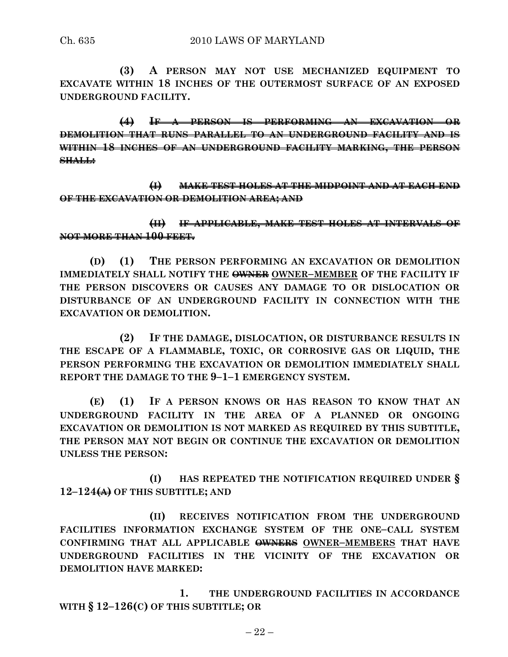**(3) A PERSON MAY NOT USE MECHANIZED EQUIPMENT TO EXCAVATE WITHIN 18 INCHES OF THE OUTERMOST SURFACE OF AN EXPOSED UNDERGROUND FACILITY.**

**(4) IF A PERSON IS PERFORMING AN EXCAVATION OR DEMOLITION THAT RUNS PARALLEL TO AN UNDERGROUND FACILITY AND IS WITHIN 18 INCHES OF AN UNDERGROUND FACILITY MARKING, THE PERSON SHALL:**

**(I) MAKE TEST HOLES AT THE MIDPOINT AND AT EACH END OF THE EXCAVATION OR DEMOLITION AREA; AND**

**(II) IF APPLICABLE, MAKE TEST HOLES AT INTERVALS OF NOT MORE THAN 100 FEET.**

**(D) (1) THE PERSON PERFORMING AN EXCAVATION OR DEMOLITION IMMEDIATELY SHALL NOTIFY THE OWNER OWNER–MEMBER OF THE FACILITY IF THE PERSON DISCOVERS OR CAUSES ANY DAMAGE TO OR DISLOCATION OR DISTURBANCE OF AN UNDERGROUND FACILITY IN CONNECTION WITH THE EXCAVATION OR DEMOLITION.**

**(2) IF THE DAMAGE, DISLOCATION, OR DISTURBANCE RESULTS IN THE ESCAPE OF A FLAMMABLE, TOXIC, OR CORROSIVE GAS OR LIQUID, THE PERSON PERFORMING THE EXCAVATION OR DEMOLITION IMMEDIATELY SHALL REPORT THE DAMAGE TO THE 9–1–1 EMERGENCY SYSTEM.**

**(E) (1) IF A PERSON KNOWS OR HAS REASON TO KNOW THAT AN UNDERGROUND FACILITY IN THE AREA OF A PLANNED OR ONGOING EXCAVATION OR DEMOLITION IS NOT MARKED AS REQUIRED BY THIS SUBTITLE, THE PERSON MAY NOT BEGIN OR CONTINUE THE EXCAVATION OR DEMOLITION UNLESS THE PERSON:**

**(I) HAS REPEATED THE NOTIFICATION REQUIRED UNDER § 12–124(A) OF THIS SUBTITLE; AND**

**(II) RECEIVES NOTIFICATION FROM THE UNDERGROUND FACILITIES INFORMATION EXCHANGE SYSTEM OF THE ONE–CALL SYSTEM CONFIRMING THAT ALL APPLICABLE OWNERS OWNER–MEMBERS THAT HAVE UNDERGROUND FACILITIES IN THE VICINITY OF THE EXCAVATION OR DEMOLITION HAVE MARKED:**

**1. THE UNDERGROUND FACILITIES IN ACCORDANCE WITH § 12–126(C) OF THIS SUBTITLE; OR**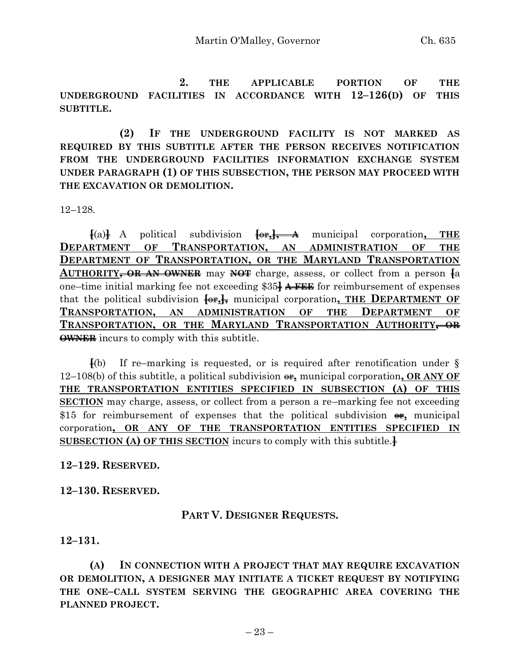**2. THE APPLICABLE PORTION OF THE UNDERGROUND FACILITIES IN ACCORDANCE WITH 12–126(D) OF THIS SUBTITLE.**

**(2) IF THE UNDERGROUND FACILITY IS NOT MARKED AS REQUIRED BY THIS SUBTITLE AFTER THE PERSON RECEIVES NOTIFICATION FROM THE UNDERGROUND FACILITIES INFORMATION EXCHANGE SYSTEM UNDER PARAGRAPH (1) OF THIS SUBSECTION, THE PERSON MAY PROCEED WITH THE EXCAVATION OR DEMOLITION.**

12–128.

 $\{a\}$  A political subdivision  $\{a\}$ ,  $\rightarrow$  **A** municipal corporation, THE **DEPARTMENT OF TRANSPORTATION, AN ADMINISTRATION OF THE DEPARTMENT OF TRANSPORTATION, OR THE MARYLAND TRANSPORTATION AUTHORITY, OR AN OWNER** may **NOT** charge, assess, or collect from a person **[**a one–time initial marking fee not exceeding \$35**] A FEE** for reimbursement of expenses that the political subdivision **[**or**,],** municipal corporation**, THE DEPARTMENT OF TRANSPORTATION, AN ADMINISTRATION OF THE DEPARTMENT OF TRANSPORTATION, OR THE MARYLAND TRANSPORTATION AUTHORITY, OR OWNER** incurs to comply with this subtitle.

**[**(b) If re–marking is requested, or is required after renotification under § 12–108(b) of this subtitle, a political subdivision  $\theta$ , municipal corporation, **OR ANY OF THE TRANSPORTATION ENTITIES SPECIFIED IN SUBSECTION (A) OF THIS SECTION** may charge, assess, or collect from a person a re–marking fee not exceeding \$15 for reimbursement of expenses that the political subdivision  $\theta$ , municipal corporation**, OR ANY OF THE TRANSPORTATION ENTITIES SPECIFIED IN SUBSECTION (A) OF THIS SECTION** incurs to comply with this subtitle.**]**

**12–129. RESERVED.**

**12–130. RESERVED.**

# **PART V. DESIGNER REQUESTS.**

**12–131.**

**(A) IN CONNECTION WITH A PROJECT THAT MAY REQUIRE EXCAVATION OR DEMOLITION, A DESIGNER MAY INITIATE A TICKET REQUEST BY NOTIFYING THE ONE–CALL SYSTEM SERVING THE GEOGRAPHIC AREA COVERING THE PLANNED PROJECT.**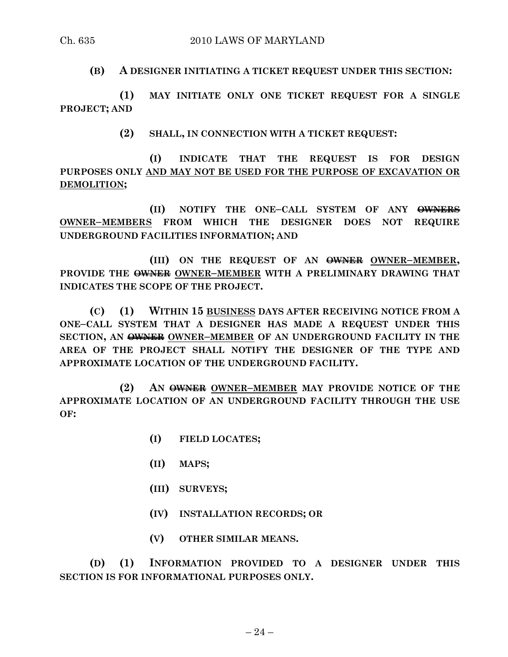**(B) A DESIGNER INITIATING A TICKET REQUEST UNDER THIS SECTION:**

**(1) MAY INITIATE ONLY ONE TICKET REQUEST FOR A SINGLE PROJECT; AND**

**(2) SHALL, IN CONNECTION WITH A TICKET REQUEST:**

**(I) INDICATE THAT THE REQUEST IS FOR DESIGN PURPOSES ONLY AND MAY NOT BE USED FOR THE PURPOSE OF EXCAVATION OR DEMOLITION;**

**(II) NOTIFY THE ONE–CALL SYSTEM OF ANY OWNERS OWNER–MEMBERS FROM WHICH THE DESIGNER DOES NOT REQUIRE UNDERGROUND FACILITIES INFORMATION; AND**

**(III) ON THE REQUEST OF AN OWNER OWNER–MEMBER, PROVIDE THE OWNER OWNER–MEMBER WITH A PRELIMINARY DRAWING THAT INDICATES THE SCOPE OF THE PROJECT.**

**(C) (1) WITHIN 15 BUSINESS DAYS AFTER RECEIVING NOTICE FROM A ONE–CALL SYSTEM THAT A DESIGNER HAS MADE A REQUEST UNDER THIS SECTION, AN OWNER OWNER–MEMBER OF AN UNDERGROUND FACILITY IN THE AREA OF THE PROJECT SHALL NOTIFY THE DESIGNER OF THE TYPE AND APPROXIMATE LOCATION OF THE UNDERGROUND FACILITY.**

**(2) AN OWNER OWNER–MEMBER MAY PROVIDE NOTICE OF THE APPROXIMATE LOCATION OF AN UNDERGROUND FACILITY THROUGH THE USE OF:**

- **(I) FIELD LOCATES;**
- **(II) MAPS;**
- **(III) SURVEYS;**
- **(IV) INSTALLATION RECORDS; OR**
- **(V) OTHER SIMILAR MEANS.**

**(D) (1) INFORMATION PROVIDED TO A DESIGNER UNDER THIS SECTION IS FOR INFORMATIONAL PURPOSES ONLY.**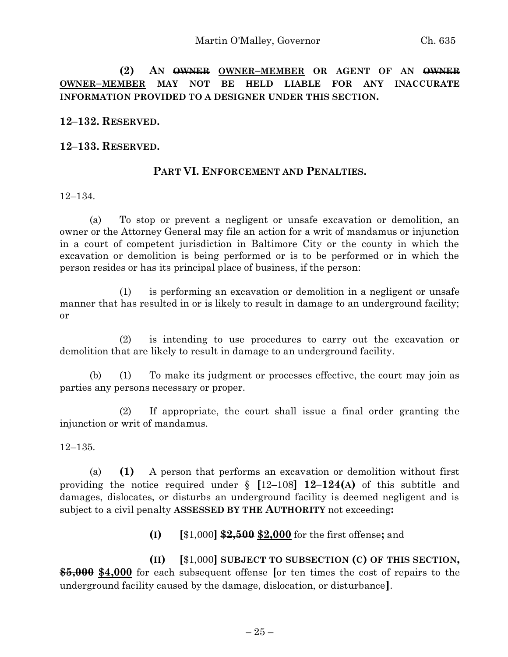**(2) AN OWNER OWNER–MEMBER OR AGENT OF AN OWNER OWNER–MEMBER MAY NOT BE HELD LIABLE FOR ANY INACCURATE INFORMATION PROVIDED TO A DESIGNER UNDER THIS SECTION.**

**12–132. RESERVED.**

**12–133. RESERVED.**

#### **PART VI. ENFORCEMENT AND PENALTIES.**

12–134.

(a) To stop or prevent a negligent or unsafe excavation or demolition, an owner or the Attorney General may file an action for a writ of mandamus or injunction in a court of competent jurisdiction in Baltimore City or the county in which the excavation or demolition is being performed or is to be performed or in which the person resides or has its principal place of business, if the person:

(1) is performing an excavation or demolition in a negligent or unsafe manner that has resulted in or is likely to result in damage to an underground facility; or

(2) is intending to use procedures to carry out the excavation or demolition that are likely to result in damage to an underground facility.

(b) (1) To make its judgment or processes effective, the court may join as parties any persons necessary or proper.

(2) If appropriate, the court shall issue a final order granting the injunction or writ of mandamus.

12–135.

(a) **(1)** A person that performs an excavation or demolition without first providing the notice required under § **[**12–108**] 12–124(A)** of this subtitle and damages, dislocates, or disturbs an underground facility is deemed negligent and is subject to a civil penalty **ASSESSED BY THE AUTHORITY** not exceeding**:**

**(I) [**\$1,000**] \$2,500 \$2,000** for the first offense**;** and

**(II) [**\$1,000**] SUBJECT TO SUBSECTION (C) OF THIS SECTION, \$5,000 \$4,000** for each subsequent offense **[**or ten times the cost of repairs to the underground facility caused by the damage, dislocation, or disturbance**]**.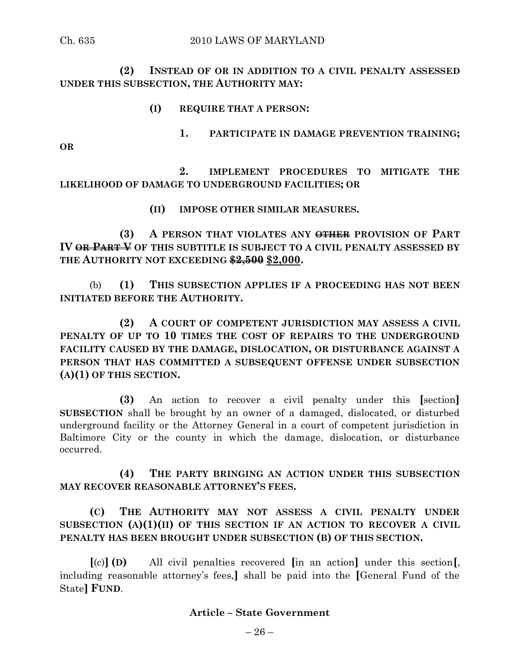**(2) INSTEAD OF OR IN ADDITION TO A CIVIL PENALTY ASSESSED UNDER THIS SUBSECTION, THE AUTHORITY MAY:**

#### **(I) REQUIRE THAT A PERSON:**

**1. PARTICIPATE IN DAMAGE PREVENTION TRAINING;**

**OR**

**2. IMPLEMENT PROCEDURES TO MITIGATE THE LIKELIHOOD OF DAMAGE TO UNDERGROUND FACILITIES; OR**

**(II) IMPOSE OTHER SIMILAR MEASURES.**

**(3) A PERSON THAT VIOLATES ANY OTHER PROVISION OF PART IV OR PART V OF THIS SUBTITLE IS SUBJECT TO A CIVIL PENALTY ASSESSED BY THE AUTHORITY NOT EXCEEDING \$2,500 \$2,000.**

(b) **(1) THIS SUBSECTION APPLIES IF A PROCEEDING HAS NOT BEEN INITIATED BEFORE THE AUTHORITY.**

**(2) A COURT OF COMPETENT JURISDICTION MAY ASSESS A CIVIL PENALTY OF UP TO 10 TIMES THE COST OF REPAIRS TO THE UNDERGROUND FACILITY CAUSED BY THE DAMAGE, DISLOCATION, OR DISTURBANCE AGAINST A PERSON THAT HAS COMMITTED A SUBSEQUENT OFFENSE UNDER SUBSECTION (A)(1) OF THIS SECTION.**

**(3)** An action to recover a civil penalty under this **[**section**] SUBSECTION** shall be brought by an owner of a damaged, dislocated, or disturbed underground facility or the Attorney General in a court of competent jurisdiction in Baltimore City or the county in which the damage, dislocation, or disturbance occurred.

**(4) THE PARTY BRINGING AN ACTION UNDER THIS SUBSECTION MAY RECOVER REASONABLE ATTORNEY'S FEES.**

**(C) THE AUTHORITY MAY NOT ASSESS A CIVIL PENALTY UNDER SUBSECTION (A)(1)(II) OF THIS SECTION IF AN ACTION TO RECOVER A CIVIL PENALTY HAS BEEN BROUGHT UNDER SUBSECTION (B) OF THIS SECTION.**

**[**(c)**] (D)** All civil penalties recovered **[**in an action**]** under this section**[**, including reasonable attorney's fees,**]** shall be paid into the **[**General Fund of the State**] FUND**.

#### **Article – State Government**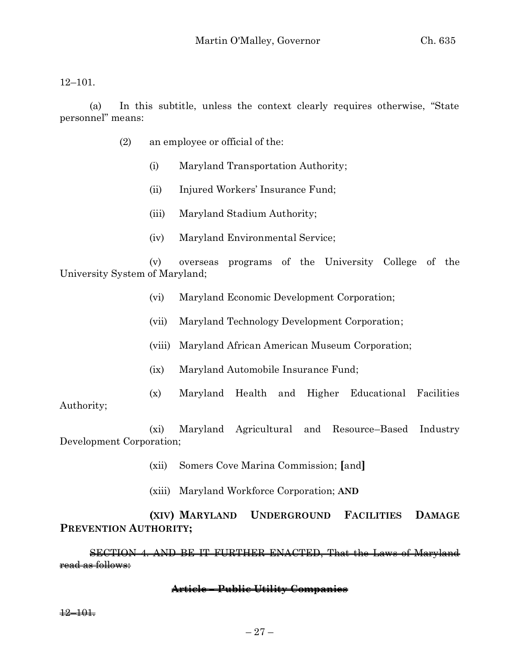12–101.

(a) In this subtitle, unless the context clearly requires otherwise, "State personnel" means:

- (2) an employee or official of the:
	- (i) Maryland Transportation Authority;
	- (ii) Injured Workers' Insurance Fund;
	- (iii) Maryland Stadium Authority;
	- (iv) Maryland Environmental Service;

(v) overseas programs of the University College of the University System of Maryland;

- (vi) Maryland Economic Development Corporation;
- (vii) Maryland Technology Development Corporation;
- (viii) Maryland African American Museum Corporation;
- (ix) Maryland Automobile Insurance Fund;
- (x) Maryland Health and Higher Educational Facilities

Authority;

(xi) Maryland Agricultural and Resource–Based Industry Development Corporation;

- (xii) Somers Cove Marina Commission; **[**and**]**
- (xiii) Maryland Workforce Corporation; **AND**

# **(XIV) MARYLAND UNDERGROUND FACILITIES DAMAGE PREVENTION AUTHORITY;**

SECTION 4. AND BE IT FURTHER ENACTED, That the Laws of Maryland read as follows:

#### **Article – Public Utility Companies**

12–101.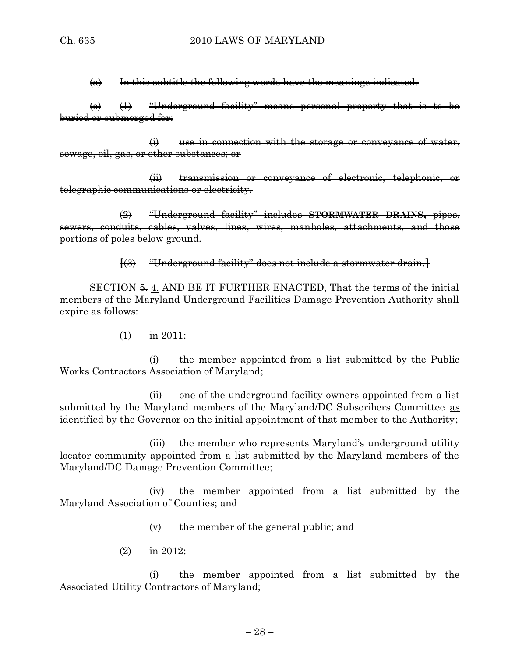$(a)$  In this subtitle the following words have the meanings indicated.

 $\leftrightarrow$   $\leftrightarrow$   $\leftrightarrow$  "Underground facility" means personal property that is to be buried or submerged for:

 $\overrightarrow{H}$  use in connection with the storage or conveyance of water, sewage, oil, gas, or other substances; or

(ii) transmission or conveyance of electronic, telephonic, or telegraphic communications or electricity.

(2) "Underground facility" includes **STORMWATER DRAINS,** pipes, sewers, conduits, cables, valves, lines, wires, manholes, attachments, and those portions of poles below ground.

# **[**(3) "Underground facility" does not include a stormwater drain.**]**

SECTION  $\xi$  4. AND BE IT FURTHER ENACTED, That the terms of the initial members of the Maryland Underground Facilities Damage Prevention Authority shall expire as follows:

(1) in 2011:

(i) the member appointed from a list submitted by the Public Works Contractors Association of Maryland;

(ii) one of the underground facility owners appointed from a list submitted by the Maryland members of the Maryland/DC Subscribers Committee as identified by the Governor on the initial appointment of that member to the Authority;

(iii) the member who represents Maryland's underground utility locator community appointed from a list submitted by the Maryland members of the Maryland/DC Damage Prevention Committee;

(iv) the member appointed from a list submitted by the Maryland Association of Counties; and

(v) the member of the general public; and

(2) in 2012:

(i) the member appointed from a list submitted by the Associated Utility Contractors of Maryland;